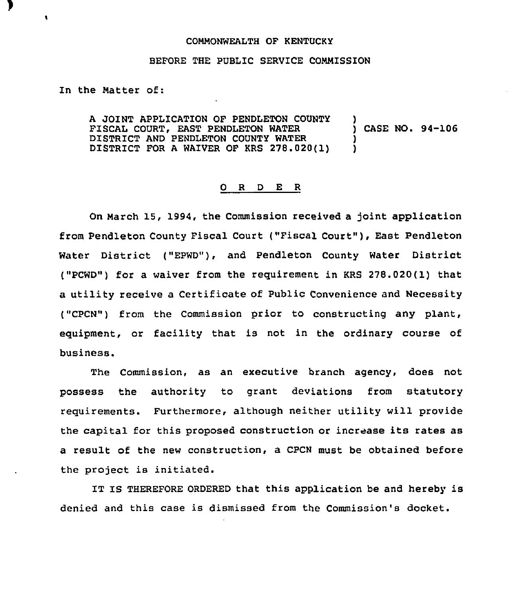## COMMONWEALTH OF KENTUCKY

## BEFORE THE PUBLIC SERVICE COMMISSION

In the Matter of:

A JOINT APPLICATION OF PENDLETON COUNTY )<br>FISCAL COURT. EAST PENDLETON WATER (2008) CASE NO. 94-106 FISCAL COURT, EAST PENDLETON WATER  $\overrightarrow{D}$  )  $\overrightarrow{D}$ DISTRICT AND PENDLETON COUNTY WATER  $\left( \begin{array}{cc} 1 & 1 \\ 0 & 1 \end{array} \right)$ DISTRICT FOR <sup>A</sup> WAIVER OF KRS 278.020(1) )

## 0 R <sup>D</sup> E <sup>R</sup>

On March 15, 1994, the Commission received a joint application from Pendleton County Fiscal Court ("Fiscal Court" ), East Pendleton Water District ("EPWD"), and Pendleton County Water District ("PCWD") for a waiver from the requirement in KRS 278.020(1) that a utility receive a Certificate of Public Convenience and Necessity ("CPCN") from the Commission prior to constructing any plant, equipment, or facility that is not in the ordinary course of business.

The Commission, as an executive branch agency, does not possess the authority to grant deviations from statutory requirements. Furthermore, although neither utility will provide the capital for this proposed construction or increase its rates as a result of the new construction, a CPCN must be obtained before the project is initiated.

IT IS THEREFORE ORDERED that this application be and hereby is denied and this case is dismissed from the Commission's docket.